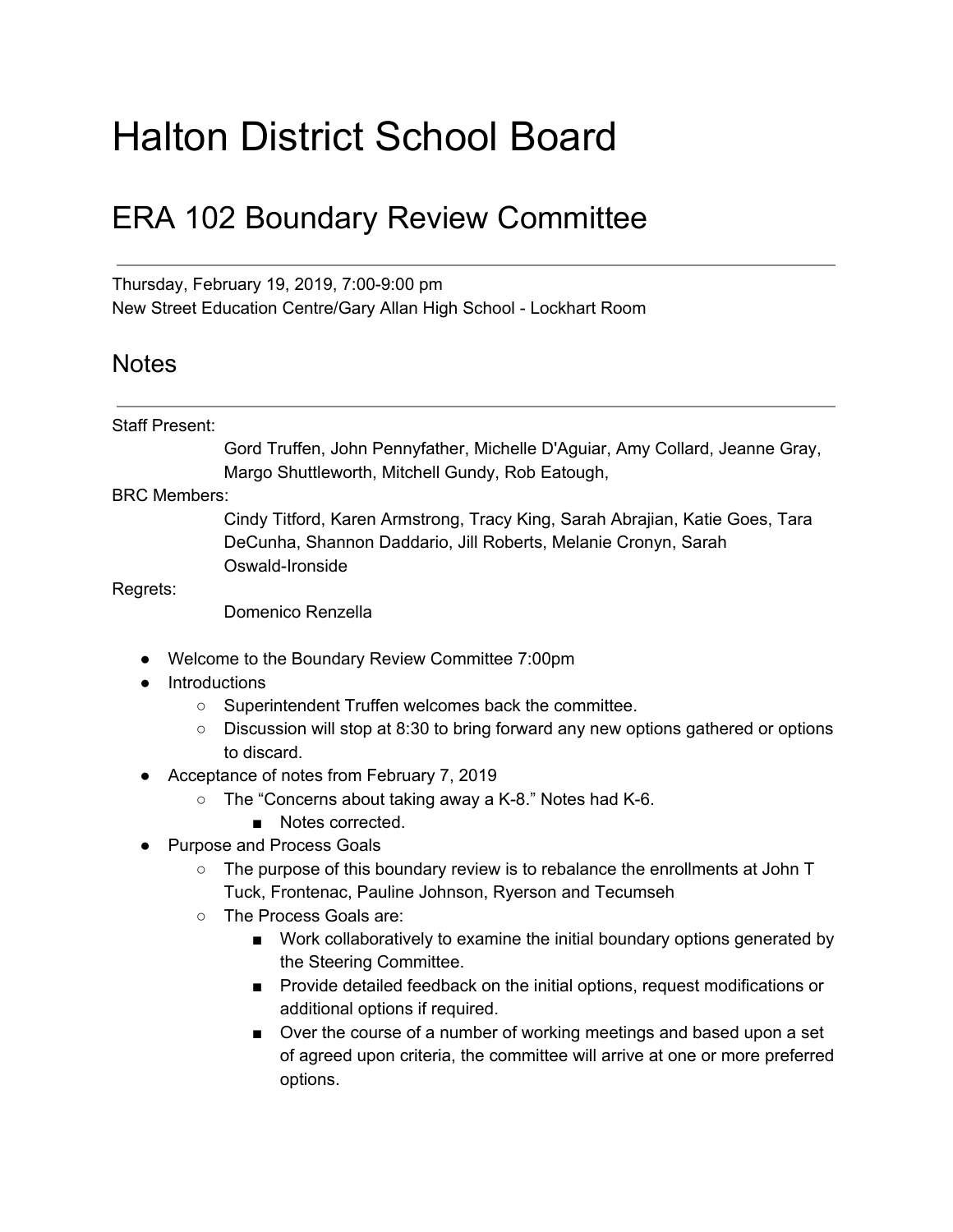## Halton District School Board

## ERA 102 Boundary Review Committee

Thursday, February 19, 2019, 7:00-9:00 pm New Street Education Centre/Gary Allan High School - Lockhart Room

## **Notes**

## Staff Present:

Gord Truffen, John Pennyfather, Michelle D'Aguiar, Amy Collard, Jeanne Gray, Margo Shuttleworth, Mitchell Gundy, Rob Eatough,

BRC Members:

Cindy Titford, Karen Armstrong, Tracy King, Sarah Abrajian, Katie Goes, Tara DeCunha, Shannon Daddario, Jill Roberts, Melanie Cronyn, Sarah Oswald-Ironside

Regrets:

Domenico Renzella

- Welcome to the Boundary Review Committee 7:00pm
- Introductions
	- Superintendent Truffen welcomes back the committee.
	- Discussion will stop at 8:30 to bring forward any new options gathered or options to discard.
- Acceptance of notes from February 7, 2019
	- The "Concerns about taking away a K-8." Notes had K-6.
		- Notes corrected.
- Purpose and Process Goals
	- The purpose of this boundary review is to rebalance the enrollments at John T Tuck, Frontenac, Pauline Johnson, Ryerson and Tecumseh
	- The Process Goals are:
		- Work collaboratively to examine the initial boundary options generated by the Steering Committee.
		- Provide detailed feedback on the initial options, request modifications or additional options if required.
		- Over the course of a number of working meetings and based upon a set of agreed upon criteria, the committee will arrive at one or more preferred options.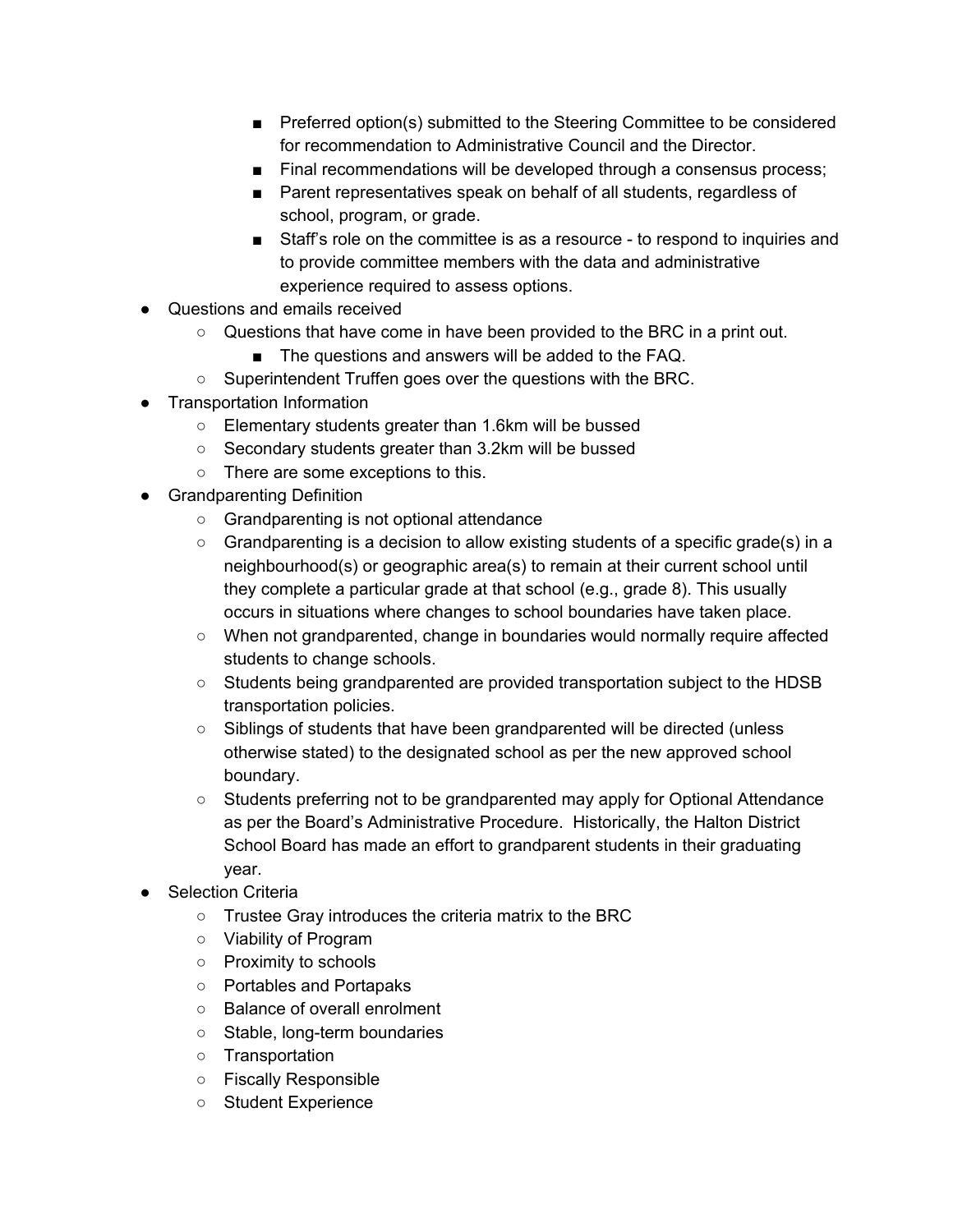- Preferred option(s) submitted to the Steering Committee to be considered for recommendation to Administrative Council and the Director.
- Final recommendations will be developed through a consensus process;
- Parent representatives speak on behalf of all students, regardless of school, program, or grade.
- Staff's role on the committee is as a resource to respond to inquiries and to provide committee members with the data and administrative experience required to assess options.
- Questions and emails received
	- $\circ$  Questions that have come in have been provided to the BRC in a print out.
		- The questions and answers will be added to the FAQ.
	- Superintendent Truffen goes over the questions with the BRC.
- Transportation Information
	- Elementary students greater than 1.6km will be bussed
	- Secondary students greater than 3.2km will be bussed
	- There are some exceptions to this.
- Grandparenting Definition
	- Grandparenting is not optional attendance
	- $\circ$  Grandparenting is a decision to allow existing students of a specific grade(s) in a neighbourhood(s) or geographic area(s) to remain at their current school until they complete a particular grade at that school (e.g., grade 8). This usually occurs in situations where changes to school boundaries have taken place.
	- When not grandparented, change in boundaries would normally require affected students to change schools.
	- Students being grandparented are provided transportation subject to the HDSB transportation policies.
	- Siblings of students that have been grandparented will be directed (unless otherwise stated) to the designated school as per the new approved school boundary.
	- Students preferring not to be grandparented may apply for Optional Attendance as per the Board's Administrative Procedure. Historically, the Halton District School Board has made an effort to grandparent students in their graduating year.
- **Selection Criteria** 
	- Trustee Gray introduces the criteria matrix to the BRC
	- Viability of Program
	- Proximity to schools
	- Portables and Portapaks
	- Balance of overall enrolment
	- Stable, long-term boundaries
	- Transportation
	- Fiscally Responsible
	- Student Experience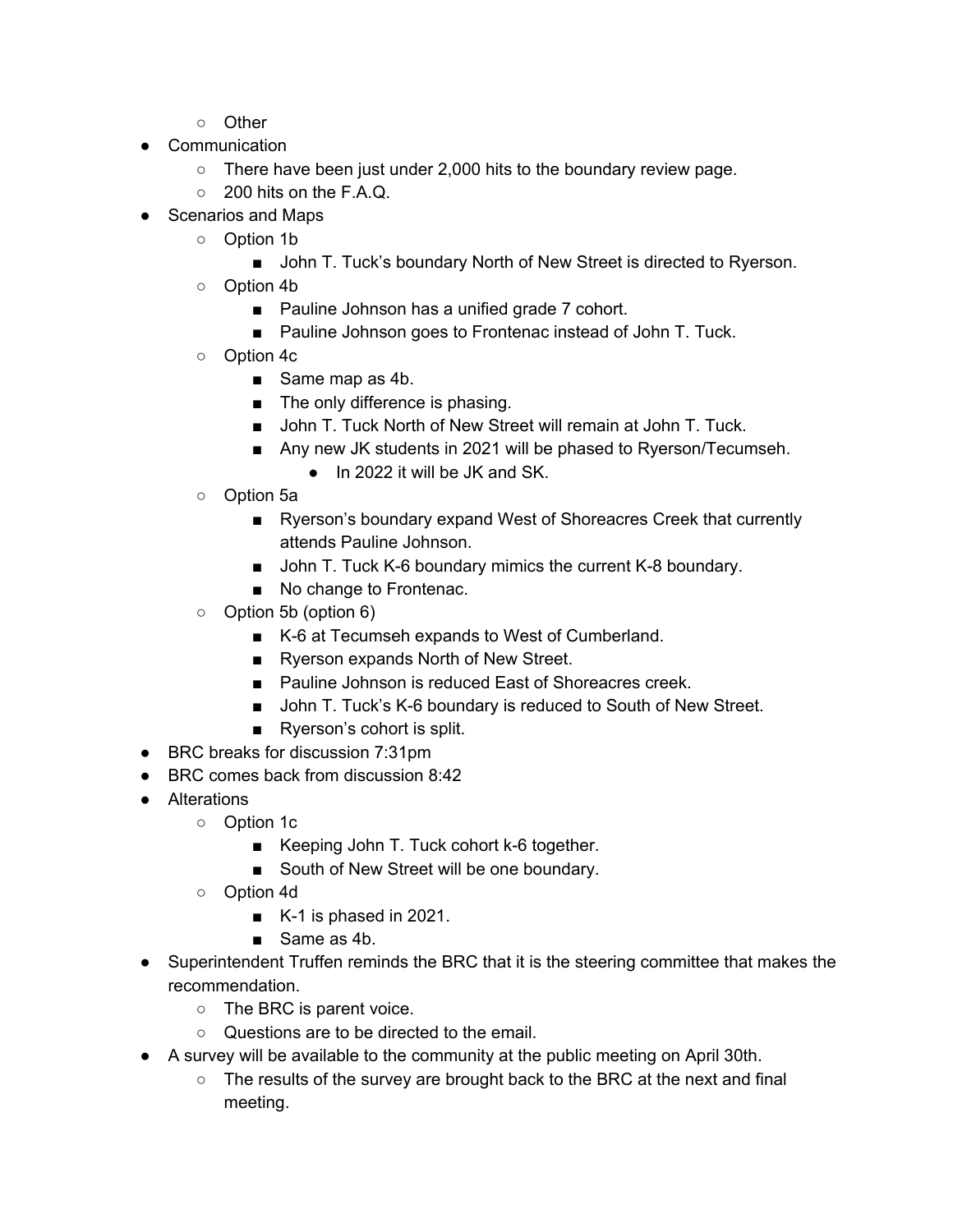- Other
- Communication
	- $\circ$  There have been just under 2,000 hits to the boundary review page.
	- $\circ$  200 hits on the F.A.Q.
- Scenarios and Maps
	- Option 1b
		- John T. Tuck's boundary North of New Street is directed to Ryerson.
	- Option 4b
		- Pauline Johnson has a unified grade 7 cohort.
		- Pauline Johnson goes to Frontenac instead of John T. Tuck.
	- Option 4c
		- Same map as 4b.
		- The only difference is phasing.
		- John T. Tuck North of New Street will remain at John T. Tuck.
		- Any new JK students in 2021 will be phased to Ryerson/Tecumseh.
			- In 2022 it will be JK and SK.
	- Option 5a
		- Ryerson's boundary expand West of Shoreacres Creek that currently attends Pauline Johnson.
		- John T. Tuck K-6 boundary mimics the current K-8 boundary.
		- No change to Frontenac.
	- Option 5b (option 6)
		- K-6 at Tecumseh expands to West of Cumberland.
		- Ryerson expands North of New Street.
		- Pauline Johnson is reduced East of Shoreacres creek.
		- John T. Tuck's K-6 boundary is reduced to South of New Street.
		- Ryerson's cohort is split.
- BRC breaks for discussion 7:31pm
- BRC comes back from discussion 8:42
- Alterations
	- Option 1c
		- Keeping John T. Tuck cohort k-6 together.
		- South of New Street will be one boundary.
	- Option 4d
		- K-1 is phased in 2021.
		- Same as 4b.
- Superintendent Truffen reminds the BRC that it is the steering committee that makes the recommendation.
	- The BRC is parent voice.
	- Questions are to be directed to the email.
- A survey will be available to the community at the public meeting on April 30th.
	- $\circ$  The results of the survey are brought back to the BRC at the next and final meeting.